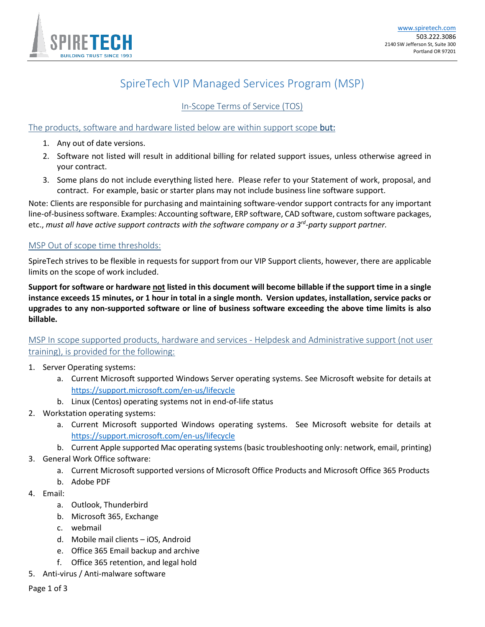

# SpireTech VIP Managed Services Program (MSP)

In-Scope Terms of Service (TOS)

## The products, software and hardware listed below are within support scope but:

- 1. Any out of date versions.
- 2. Software not listed will result in additional billing for related support issues, unless otherwise agreed in your contract.
- 3. Some plans do not include everything listed here. Please refer to your Statement of work, proposal, and contract. For example, basic or starter plans may not include business line software support.

Note: Clients are responsible for purchasing and maintaining software-vendor support contracts for any important line-of-business software. Examples: Accounting software, ERP software, CAD software, custom software packages, etc., *must all have active support contracts with the software company or a 3rd -party support partner.*

#### MSP Out of scope time thresholds:

SpireTech strives to be flexible in requests for support from our VIP Support clients, however, there are applicable limits on the scope of work included.

**Support for software or hardware not listed in this document will become billable if the support time in a single instance exceeds 15 minutes, or 1 hour in total in a single month. Version updates, installation, service packs or upgrades to any non-supported software or line of business software exceeding the above time limits is also billable.**

MSP In scope supported products, hardware and services - Helpdesk and Administrative support (not user training), is provided for the following:

- 1. Server Operating systems:
	- a. Current Microsoft supported Windows Server operating systems. See Microsoft website for details at <https://support.microsoft.com/en-us/lifecycle>
	- b. Linux (Centos) operating systems not in end-of-life status
- 2. Workstation operating systems:
	- a. Current Microsoft supported Windows operating systems. See Microsoft website for details at <https://support.microsoft.com/en-us/lifecycle>
	- b. Current Apple supported Mac operating systems (basic troubleshooting only: network, email, printing)
- 3. General Work Office software:
	- a. Current Microsoft supported versions of Microsoft Office Products and Microsoft Office 365 Products
	- b. Adobe PDF
- 4. Email:
	- a. Outlook, Thunderbird
	- b. Microsoft 365, Exchange
	- c. webmail
	- d. Mobile mail clients iOS, Android
	- e. Office 365 Email backup and archive
	- f. Office 365 retention, and legal hold
- 5. Anti-virus / Anti-malware software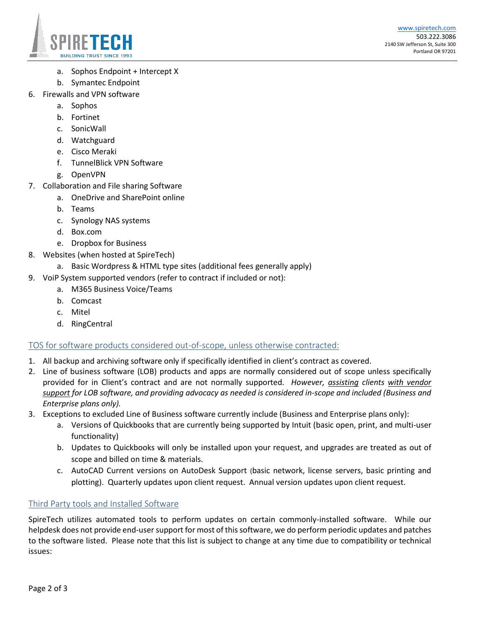

- a. Sophos Endpoint + Intercept X
- b. Symantec Endpoint
- 6. Firewalls and VPN software
	- a. Sophos
	- b. Fortinet
	- c. SonicWall
	- d. Watchguard
	- e. Cisco Meraki
	- f. TunnelBlick VPN Software
	- g. OpenVPN
- 7. Collaboration and File sharing Software
	- a. OneDrive and SharePoint online
	- b. Teams
	- c. Synology NAS systems
	- d. Box.com
	- e. Dropbox for Business
- 8. Websites (when hosted at SpireTech)
	- a. Basic Wordpress & HTML type sites (additional fees generally apply)
- 9. VoiP System supported vendors (refer to contract if included or not):
	- a. M365 Business Voice/Teams
	- b. Comcast
	- c. Mitel
	- d. RingCentral

# TOS for software products considered out-of-scope, unless otherwise contracted:

- 1. All backup and archiving software only if specifically identified in client's contract as covered.
- 2. Line of business software (LOB) products and apps are normally considered out of scope unless specifically provided for in Client's contract and are not normally supported. *However, assisting clients with vendor support for LOB software, and providing advocacy as needed is considered in-scope and included (Business and Enterprise plans only).*
- 3. Exceptions to excluded Line of Business software currently include (Business and Enterprise plans only):
	- a. Versions of Quickbooks that are currently being supported by Intuit (basic open, print, and multi-user functionality)
	- b. Updates to Quickbooks will only be installed upon your request, and upgrades are treated as out of scope and billed on time & materials.
	- c. AutoCAD Current versions on AutoDesk Support (basic network, license servers, basic printing and plotting). Quarterly updates upon client request. Annual version updates upon client request.

#### Third Party tools and Installed Software

SpireTech utilizes automated tools to perform updates on certain commonly-installed software. While our helpdesk does not provide end-user support for most of this software, we do perform periodic updates and patches to the software listed. Please note that this list is subject to change at any time due to compatibility or technical issues: